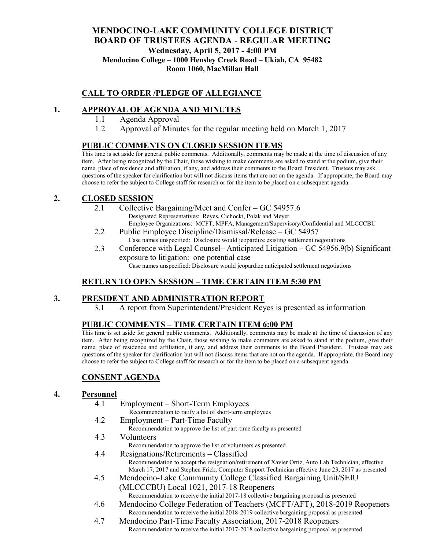### **MENDOCINO-LAKE COMMUNITY COLLEGE DISTRICT BOARD OF TRUSTEES AGENDA** - **REGULAR MEETING Wednesday, April 5, 2017 - 4:00 PM Mendocino College – 1000 Hensley Creek Road – Ukiah, CA 95482 Room 1060, MacMillan Hall**

### **CALL TO ORDER /PLEDGE OF ALLEGIANCE**

### **1. APPROVAL OF AGENDA AND MINUTES**

- 1.1 Agenda Approval
- 1.2 Approval of Minutes for the regular meeting held on March 1, 2017

### **PUBLIC COMMENTS ON CLOSED SESSION ITEMS**

This time is set aside for general public comments. Additionally, comments may be made at the time of discussion of any item. After being recognized by the Chair, those wishing to make comments are asked to stand at the podium, give their name, place of residence and affiliation, if any, and address their comments to the Board President. Trustees may ask questions of the speaker for clarification but will not discuss items that are not on the agenda. If appropriate, the Board may choose to refer the subject to College staff for research or for the item to be placed on a subsequent agenda.

### **2. CLOSED SESSION**

- 2.1 Collective Bargaining/Meet and Confer GC 54957.6 Designated Representatives: Reyes, Cichocki, Polak and Meyer Employee Organizations: MCFT, MPFA, Management/Supervisory/Confidential and MLCCCBU
- 2.2 Public Employee Discipline/Dismissal/Release GC 54957 Case names unspecified: Disclosure would jeopardize existing settlement negotiations
- 2.3 Conference with Legal Counsel– Anticipated Litigation GC 54956.9(b) Significant exposure to litigation: one potential case Case names unspecified: Disclosure would jeopardize anticipated settlement negotiations

### **RETURN TO OPEN SESSION – TIME CERTAIN ITEM 5:30 PM**

### **3. PRESIDENT AND ADMINISTRATION REPORT**

3.1 A report from Superintendent/President Reyes is presented as information

### **PUBLIC COMMENTS – TIME CERTAIN ITEM 6:00 PM**

This time is set aside for general public comments. Additionally, comments may be made at the time of discussion of any item. After being recognized by the Chair, those wishing to make comments are asked to stand at the podium, give their name, place of residence and affiliation, if any, and address their comments to the Board President. Trustees may ask questions of the speaker for clarification but will not discuss items that are not on the agenda. If appropriate, the Board may choose to refer the subject to College staff for research or for the item to be placed on a subsequent agenda.

### **CONSENT AGENDA**

#### **4. Personnel**

- 4.1 Employment Short-Term Employees Recommendation to ratify a list of short-term employees
- 4.2 Employment Part-Time Faculty Recommendation to approve the list of part-time faculty as presented
- 4.3 Volunteers
	- Recommendation to approve the list of volunteers as presented
- 4.4 Resignations/Retirements Classified Recommendation to accept the resignation/retirement of Xavier Ortiz, Auto Lab Technician, effective March 17, 2017 and Stephen Frick, Computer Support Technician effective June 23, 2017 as presented
- 4.5 Mendocino-Lake Community College Classified Bargaining Unit/SEIU (MLCCCBU) Local 1021, 2017-18 Reopeners Recommendation to receive the initial 2017-18 collective bargaining proposal as presented
- 4.6 Mendocino College Federation of Teachers (MCFT/AFT), 2018-2019 Reopeners Recommendation to receive the initial 2018-2019 collective bargaining proposal as presented
- 4.7 Mendocino Part-Time Faculty Association, 2017-2018 Reopeners Recommendation to receive the initial 2017-2018 collective bargaining proposal as presented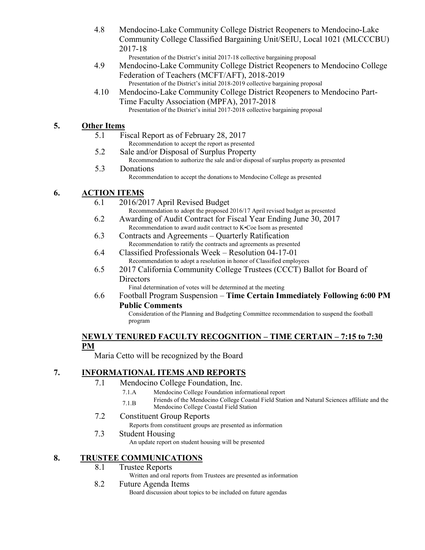- 4.8 Mendocino-Lake Community College District Reopeners to Mendocino-Lake Community College Classified Bargaining Unit/SEIU, Local 1021 (MLCCCBU) 2017-18
- Presentation of the District's initial 2017-18 collective bargaining proposal 4.9 Mendocino-Lake Community College District Reopeners to Mendocino College
	- Federation of Teachers (MCFT/AFT), 2018-2019 Presentation of the District's initial 2018-2019 collective bargaining proposal
- 4.10 Mendocino-Lake Community College District Reopeners to Mendocino Part-Time Faculty Association (MPFA), 2017-2018 Presentation of the District's initial 2017-2018 collective bargaining proposal

# **5. Other Items**

- 5.1 Fiscal Report as of February 28, 2017 Recommendation to accept the report as presented
- 5.2 Sale and/or Disposal of Surplus Property
- Recommendation to authorize the sale and/or disposal of surplus property as presented 5.3 Donations

Recommendation to accept the donations to Mendocino College as presented

# **6. ACTION ITEMS**

- 6.1 2016/2017 April Revised Budget
	- Recommendation to adopt the proposed 2016/17 April revised budget as presented
- 6.2 Awarding of Audit Contract for Fiscal Year Ending June 30, 2017 Recommendation to award audit contract to K•Coe Isom as presented
- 6.3 Contracts and Agreements Quarterly Ratification Recommendation to ratify the contracts and agreements as presented
- 6.4 Classified Professionals Week Resolution 04-17-01 Recommendation to adopt a resolution in honor of Classified employees
- 6.5 2017 California Community College Trustees (CCCT) Ballot for Board of **Directors**

Final determination of votes will be determined at the meeting

6.6 Football Program Suspension – **Time Certain Immediately Following 6:00 PM Public Comments**

Consideration of the Planning and Budgeting Committee recommendation to suspend the football program

#### **NEWLY TENURED FACULTY RECOGNITION – TIME CERTAIN – 7:15 to 7:30 PM**

Maria Cetto will be recognized by the Board

### **7. INFORMATIONAL ITEMS AND REPORTS**

- 7.1 Mendocino College Foundation, Inc.
	- 7.1.A Mendocino College Foundation informational report
	- 7.1.B Friends of the Mendocino College Coastal Field Station and Natural Sciences affiliate and the Mendocino College Coastal Field Station

### 7.2 Constituent Group Reports

Reports from constituent groups are presented as information

7.3 Student Housing

An update report on student housing will be presented

# **8. TRUSTEE COMMUNICATIONS**

8.1 Trustee Reports

Written and oral reports from Trustees are presented as information

#### 8.2 Future Agenda Items

Board discussion about topics to be included on future agendas